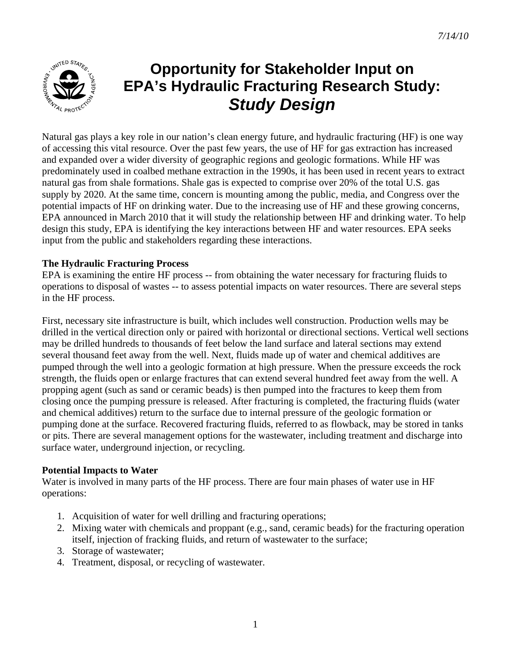

# **Opportunity for Stakeholder Input on EPA's Hydraulic Fracturing Research Study:**  *Study Design*

Natural gas plays a key role in our nation's clean energy future, and hydraulic fracturing (HF) is one way of accessing this vital resource. Over the past few years, the use of HF for gas extraction has increased and expanded over a wider diversity of geographic regions and geologic formations. While HF was predominately used in coalbed methane extraction in the 1990s, it has been used in recent years to extract natural gas from shale formations. Shale gas is expected to comprise over 20% of the total U.S. gas supply by 2020. At the same time, concern is mounting among the public, media, and Congress over the potential impacts of HF on drinking water. Due to the increasing use of HF and these growing concerns, EPA announced in March 2010 that it will study the relationship between HF and drinking water. To help design this study, EPA is identifying the key interactions between HF and water resources. EPA seeks input from the public and stakeholders regarding these interactions.

# **The Hydraulic Fracturing Process**

EPA is examining the entire HF process -- from obtaining the water necessary for fracturing fluids to operations to disposal of wastes -- to assess potential impacts on water resources. There are several steps in the HF process.

First, necessary site infrastructure is built, which includes well construction. Production wells may be drilled in the vertical direction only or paired with horizontal or directional sections. Vertical well sections may be drilled hundreds to thousands of feet below the land surface and lateral sections may extend several thousand feet away from the well. Next, fluids made up of water and chemical additives are pumped through the well into a geologic formation at high pressure. When the pressure exceeds the rock strength, the fluids open or enlarge fractures that can extend several hundred feet away from the well. A propping agent (such as sand or ceramic beads) is then pumped into the fractures to keep them from closing once the pumping pressure is released. After fracturing is completed, the fracturing fluids (water and chemical additives) return to the surface due to internal pressure of the geologic formation or pumping done at the surface. Recovered fracturing fluids, referred to as flowback, may be stored in tanks or pits. There are several management options for the wastewater, including treatment and discharge into surface water, underground injection, or recycling.

## **Potential Impacts to Water**

Water is involved in many parts of the HF process. There are four main phases of water use in HF operations:

- 1. Acquisition of water for well drilling and fracturing operations;
- 2. Mixing water with chemicals and proppant (e.g., sand, ceramic beads) for the fracturing operation itself, injection of fracking fluids, and return of wastewater to the surface;
- 3. Storage of wastewater;
- 4. Treatment, disposal, or recycling of wastewater.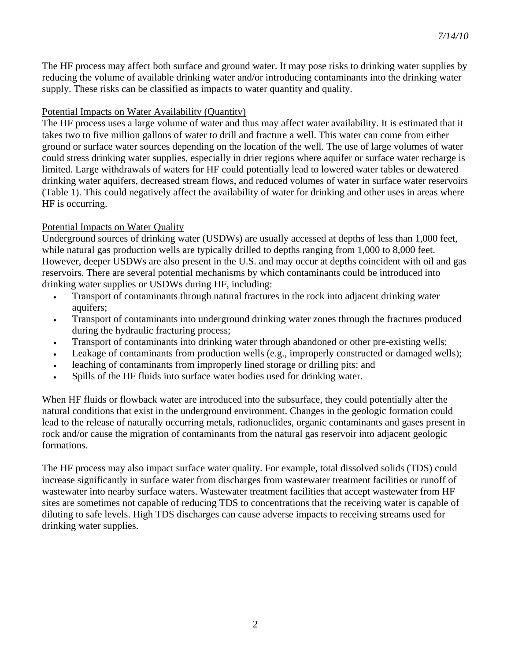The HF process may affect both surface and ground water. It may pose risks to drinking water supplies by reducing the volume of available drinking water and/or introducing contaminants into the drinking water supply. These risks can be classified as impacts to water quantity and quality.

### Potential Impacts on Water Availability (Quantity)

The HF process uses a large volume of water and thus may affect water availability. It is estimated that it takes two to five million gallons of water to drill and fracture a well. This water can come from either ground or surface water sources depending on the location of the well. The use of large volumes of water could stress drinking water supplies, especially in drier regions where aquifer or surface water recharge is limited. Large withdrawals of waters for HF could potentially lead to lowered water tables or dewatered drinking water aquifers, decreased stream flows, and reduced volumes of water in surface water reservoirs (Table 1). This could negatively affect the availability of water for drinking and other uses in areas where HF is occurring.

## Potential Impacts on Water Quality

Underground sources of drinking water (USDWs) are usually accessed at depths of less than 1,000 feet, while natural gas production wells are typically drilled to depths ranging from 1,000 to 8,000 feet. However, deeper USDWs are also present in the U.S. and may occur at depths coincident with oil and gas reservoirs. There are several potential mechanisms by which contaminants could be introduced into drinking water supplies or USDWs during HF, including:

- Transport of contaminants through natural fractures in the rock into adjacent drinking water aquifers;
- Transport of contaminants into underground drinking water zones through the fractures produced during the hydraulic fracturing process;
- Transport of contaminants into drinking water through abandoned or other pre-existing wells;
- Leakage of contaminants from production wells (e.g., improperly constructed or damaged wells);
- leaching of contaminants from improperly lined storage or drilling pits; and
- Spills of the HF fluids into surface water bodies used for drinking water.

When HF fluids or flowback water are introduced into the subsurface, they could potentially alter the natural conditions that exist in the underground environment. Changes in the geologic formation could lead to the release of naturally occurring metals, radionuclides, organic contaminants and gases present in rock and/or cause the migration of contaminants from the natural gas reservoir into adjacent geologic formations.

The HF process may also impact surface water quality. For example, total dissolved solids (TDS) could increase significantly in surface water from discharges from wastewater treatment facilities or runoff of wastewater into nearby surface waters. Wastewater treatment facilities that accept wastewater from HF sites are sometimes not capable of reducing TDS to concentrations that the receiving water is capable of diluting to safe levels. High TDS discharges can cause adverse impacts to receiving streams used for drinking water supplies.